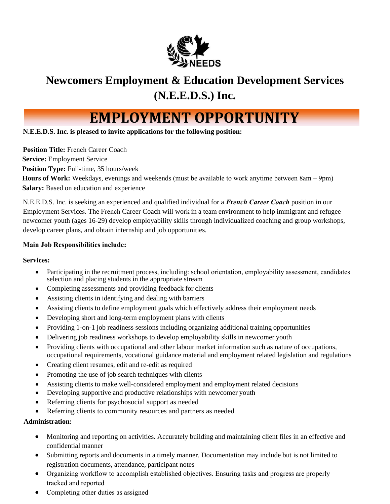

## **Newcomers Employment & Education Development Services (N.E.E.D.S.) Inc.**

# **EMPLOYMENT OPPORTUNITY**

**N.E.E.D.S. Inc. is pleased to invite applications for the following position:** 

**Position Title: French Career Coach Service:** Employment Service **Position Type:** Full-time, 35 hours/week **Hours of Work:** Weekdays, evenings and weekends (must be available to work anytime between 8am – 9pm) **Salary:** Based on education and experience

N.E.E.D.S. Inc. is seeking an experienced and qualified individual for a *French Career Coach* position in our Employment Services. The French Career Coach will work in a team environment to help immigrant and refugee newcomer youth (ages 16-29) develop employability skills through individualized coaching and group workshops, develop career plans, and obtain internship and job opportunities.

#### **Main Job Responsibilities include:**

#### **Services:**

- Participating in the recruitment process, including: school orientation, employability assessment, candidates selection and placing students in the appropriate stream
- Completing assessments and providing feedback for clients
- Assisting clients in identifying and dealing with barriers
- Assisting clients to define employment goals which effectively address their employment needs
- Developing short and long-term employment plans with clients
- Providing 1-on-1 job readiness sessions including organizing additional training opportunities
- Delivering job readiness workshops to develop employability skills in newcomer youth
- Providing clients with occupational and other labour market information such as nature of occupations, occupational requirements, vocational guidance material and employment related legislation and regulations
- Creating client resumes, edit and re-edit as required
- Promoting the use of job search techniques with clients
- Assisting clients to make well-considered employment and employment related decisions
- Developing supportive and productive relationships with newcomer youth
- Referring clients for psychosocial support as needed
- Referring clients to community resources and partners as needed

#### **Administration:**

- Monitoring and reporting on activities. Accurately building and maintaining client files in an effective and confidential manner
- Submitting reports and documents in a timely manner. Documentation may include but is not limited to registration documents, attendance, participant notes
- Organizing workflow to accomplish established objectives. Ensuring tasks and progress are properly tracked and reported
- Completing other duties as assigned